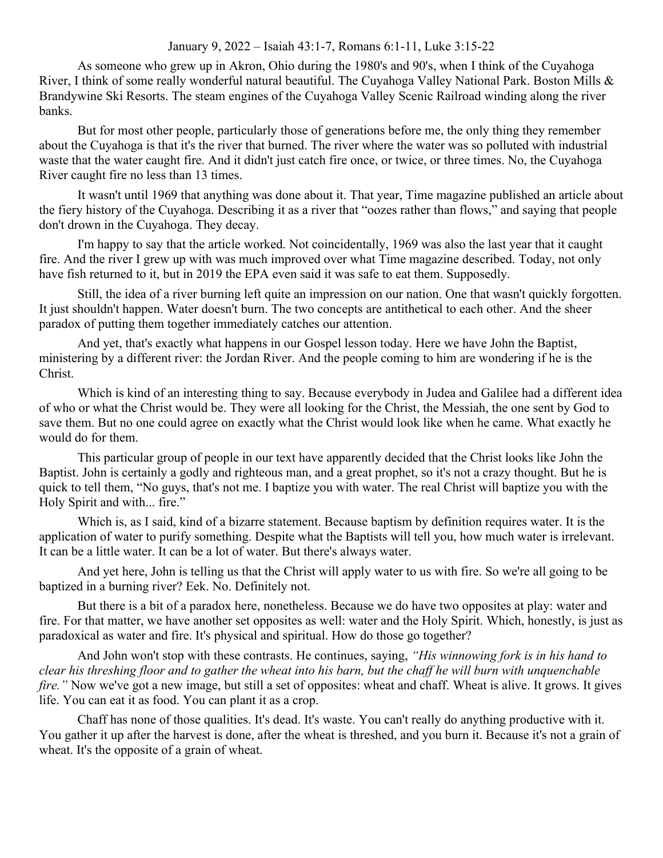## January 9, 2022 – Isaiah 43:1-7, Romans 6:1-11, Luke 3:15-22

As someone who grew up in Akron, Ohio during the 1980's and 90's, when I think of the Cuyahoga River, I think of some really wonderful natural beautiful. The Cuyahoga Valley National Park. Boston Mills & Brandywine Ski Resorts. The steam engines of the Cuyahoga Valley Scenic Railroad winding along the river banks.

But for most other people, particularly those of generations before me, the only thing they remember about the Cuyahoga is that it's the river that burned. The river where the water was so polluted with industrial waste that the water caught fire. And it didn't just catch fire once, or twice, or three times. No, the Cuyahoga River caught fire no less than 13 times.

It wasn't until 1969 that anything was done about it. That year, Time magazine published an article about the fiery history of the Cuyahoga. Describing it as a river that "oozes rather than flows," and saying that people don't drown in the Cuyahoga. They decay.

I'm happy to say that the article worked. Not coincidentally, 1969 was also the last year that it caught fire. And the river I grew up with was much improved over what Time magazine described. Today, not only have fish returned to it, but in 2019 the EPA even said it was safe to eat them. Supposedly.

Still, the idea of a river burning left quite an impression on our nation. One that wasn't quickly forgotten. It just shouldn't happen. Water doesn't burn. The two concepts are antithetical to each other. And the sheer paradox of putting them together immediately catches our attention.

And yet, that's exactly what happens in our Gospel lesson today. Here we have John the Baptist, ministering by a different river: the Jordan River. And the people coming to him are wondering if he is the Christ.

Which is kind of an interesting thing to say. Because everybody in Judea and Galilee had a different idea of who or what the Christ would be. They were all looking for the Christ, the Messiah, the one sent by God to save them. But no one could agree on exactly what the Christ would look like when he came. What exactly he would do for them.

This particular group of people in our text have apparently decided that the Christ looks like John the Baptist. John is certainly a godly and righteous man, and a great prophet, so it's not a crazy thought. But he is quick to tell them, "No guys, that's not me. I baptize you with water. The real Christ will baptize you with the Holy Spirit and with... fire."

Which is, as I said, kind of a bizarre statement. Because baptism by definition requires water. It is the application of water to purify something. Despite what the Baptists will tell you, how much water is irrelevant. It can be a little water. It can be a lot of water. But there's always water.

And yet here, John is telling us that the Christ will apply water to us with fire. So we're all going to be baptized in a burning river? Eek. No. Definitely not.

But there is a bit of a paradox here, nonetheless. Because we do have two opposites at play: water and fire. For that matter, we have another set opposites as well: water and the Holy Spirit. Which, honestly, is just as paradoxical as water and fire. It's physical and spiritual. How do those go together?

And John won't stop with these contrasts. He continues, saying, *"His winnowing fork is in his hand to clear his threshing floor and to gather the wheat into his barn, but the chaff he will burn with unquenchable fire.*" Now we've got a new image, but still a set of opposites: wheat and chaff. Wheat is alive. It grows. It gives life. You can eat it as food. You can plant it as a crop.

Chaff has none of those qualities. It's dead. It's waste. You can't really do anything productive with it. You gather it up after the harvest is done, after the wheat is threshed, and you burn it. Because it's not a grain of wheat. It's the opposite of a grain of wheat.